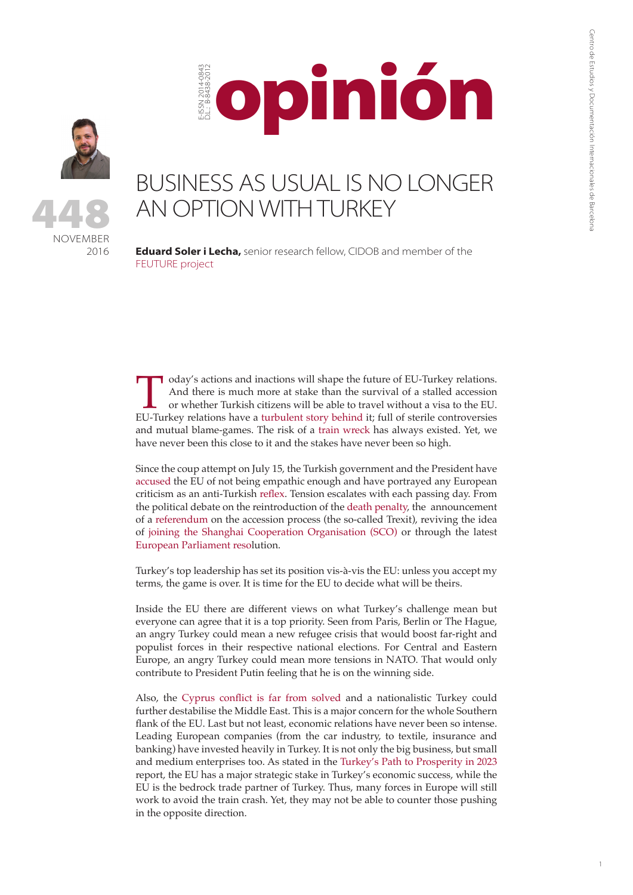

E-ISSN 2014-0843 D.L.: B-8438-2012

-ISSN 2014-084<br>LL: B-8438-201



## BUSINESS AS USUAL IS NO LONGER AN OPTION WITH TURKEY

opinión

**Eduard Soler i Lecha,** senior research fellow, CIDOB and member of the [FEUTURE project](http://feuture.eu/)

Ioday's actions and inactions will shape the future of EU-Turkey relations.<br>And there is much more at stake than the survival of a stalled accession<br>or whether Turkish citizens will be able to travel without a visa to the And there is much more at stake than the survival of a stalled accession or whether Turkish citizens will be able to travel without a visa to the EU. EU-Turkey relations have a turbulent story behind it; full of sterile controversies and mutual blame-games. The risk of a [train wreck](http://www.ecfr.eu/publications/summary/trouble_on_the_tracks_averting_the_turkey_eu_train_wreck7190) has always existed. Yet, we have never been this close to it and the stakes have never been so high.

Since the coup attempt on July 15, the Turkish government and the President have [accused](http://www.dw.com/en/erdogan-to-withdraw-insult-lawsuits/a-19438213) the EU of not being empathic enough and have portrayed any European criticism as an anti-Turkish [reflex](http://www.reuters.com/article/us-russia-turkey-europe-minister-idUSKCN10L0S9). Tension escalates with each passing day. From the political debate on the reintroduction of the [death penalty,](http://www.middleeasteye.net/news/erdogan-threatens-refugee-treaty-after-eu-vote-block-turkish-membership-talks-1980817198) the announcement of a [referendum](http://www.reuters.com/article/us-turkey-eu-erdogan-idUSKBN1391H4?feedType=RSS&feedName=worldNews&utm_source=Twitter&utm_medium=Social&utm_campaign=Feed%3A+Reuters%2FworldNews+(Reuters+World+News)) on the accession process (the so-called Trexit), reviving the idea of [joining the Shanghai Cooperation Organisation \(SCO\)](http://www.hurriyetdailynews.com/president-erdogan-eu-not-everything-turkey-may-join-shanghai-five.aspx?pageID=238&nid=106321&NewsCatID=338) or through the latest [European Parliament resol](http://www.aljazeera.com/news/2016/11/turkey-dismisses-eu-parliament-vote-freeze-talks-161124161013628.html)ution.

Turkey's top leadership has set its position vis-à-vis the EU: unless you accept my terms, the game is over. It is time for the EU to decide what will be theirs.

Inside the EU there are different views on what Turkey's challenge mean but everyone can agree that it is a top priority. Seen from Paris, Berlin or The Hague, an angry Turkey could mean a new refugee crisis that would boost far-right and populist forces in their respective national elections. For Central and Eastern Europe, an angry Turkey could mean more tensions in NATO. That would only contribute to President Putin feeling that he is on the winning side.

Also, the [Cyprus conflict is far from solved](http://www.reuters.com/article/us-cyprus-conflict-un-idUSKBN13H0CB?utm_campaign=trueAnthem:+Trending+Content&utm_content=5833ee2404d30162fad10143&utm_medium=trueAnthem&utm_source=twitter) and a nationalistic Turkey could further destabilise the Middle East. This is a major concern for the whole Southern flank of the EU. Last but not least, economic relations have never been so intense. Leading European companies (from the car industry, to textile, insurance and banking) have invested heavily in Turkey. It is not only the big business, but small and medium enterprises too. As stated in the [Turkey's Path to Prosperity in 2023](https://www.americanprogress.org/issues/security/reports/2016/07/20/141568/turkeys-path-to-prosperity-in-2023/) report, the EU has a major strategic stake in Turkey's economic success, while the EU is the bedrock trade partner of Turkey. Thus, many forces in Europe will still work to avoid the train crash. Yet, they may not be able to counter those pushing in the opposite direction.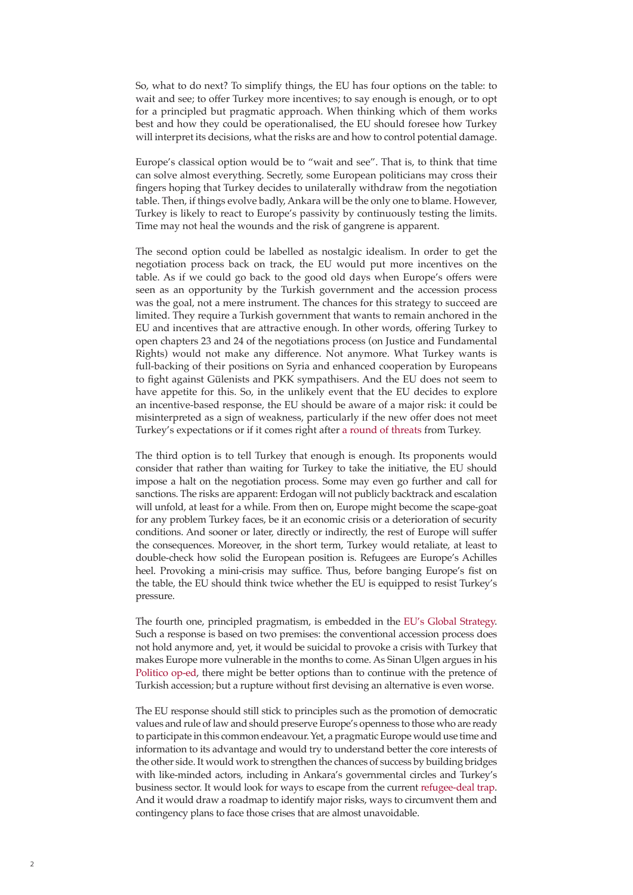So, what to do next? To simplify things, the EU has four options on the table: to wait and see; to offer Turkey more incentives; to say enough is enough, or to opt for a principled but pragmatic approach. When thinking which of them works best and how they could be operationalised, the EU should foresee how Turkey will interpret its decisions, what the risks are and how to control potential damage.

Europe's classical option would be to "wait and see". That is, to think that time can solve almost everything. Secretly, some European politicians may cross their fingers hoping that Turkey decides to unilaterally withdraw from the negotiation table. Then, if things evolve badly, Ankara will be the only one to blame. However, Turkey is likely to react to Europe's passivity by continuously testing the limits. Time may not heal the wounds and the risk of gangrene is apparent.

The second option could be labelled as nostalgic idealism. In order to get the negotiation process back on track, the EU would put more incentives on the table. As if we could go back to the good old days when Europe's offers were seen as an opportunity by the Turkish government and the accession process was the goal, not a mere instrument. The chances for this strategy to succeed are limited. They require a Turkish government that wants to remain anchored in the EU and incentives that are attractive enough. In other words, offering Turkey to open chapters 23 and 24 of the negotiations process (on Justice and Fundamental Rights) would not make any difference. Not anymore. What Turkey wants is full-backing of their positions on Syria and enhanced cooperation by Europeans to fight against Gülenists and PKK sympathisers. And the EU does not seem to have appetite for this. So, in the unlikely event that the EU decides to explore an incentive-based response, the EU should be aware of a major risk: it could be misinterpreted as a sign of weakness, particularly if the new offer does not meet Turkey's expectations or if it comes right after [a round of threats](https://www.theguardian.com/world/2016/nov/25/turkey-threatens-end-refugee-deal-row-eu-accession-erdogan) from Turkey.

The third option is to tell Turkey that enough is enough. Its proponents would consider that rather than waiting for Turkey to take the initiative, the EU should impose a halt on the negotiation process. Some may even go further and call for sanctions. The risks are apparent: Erdogan will not publicly backtrack and escalation will unfold, at least for a while. From then on, Europe might become the scape-goat for any problem Turkey faces, be it an economic crisis or a deterioration of security conditions. And sooner or later, directly or indirectly, the rest of Europe will suffer the consequences. Moreover, in the short term, Turkey would retaliate, at least to double-check how solid the European position is. Refugees are Europe's Achilles heel. Provoking a mini-crisis may suffice. Thus, before banging Europe's fist on the table, the EU should think twice whether the EU is equipped to resist Turkey's pressure.

The fourth one, principled pragmatism, is embedded in the [EU's Global Strategy](https://europa.eu/globalstrategy/sites/globalstrategy/files/eugs_review_web.pdf). Such a response is based on two premises: the conventional accession process does not hold anymore and, yet, it would be suicidal to provoke a crisis with Turkey that makes Europe more vulnerable in the months to come. As Sinan Ulgen argues in his [Politico op-ed,](http://www.politico.eu/article/turkey-needs-a-soft-exit-from-the-eu/) there might be better options than to continue with the pretence of Turkish accession; but a rupture without first devising an alternative is even worse.

The EU response should still stick to principles such as the promotion of democratic values and rule of law and should preserve Europe's openness to those who are ready to participate in this common endeavour. Yet, a pragmatic Europe would use time and information to its advantage and would try to understand better the core interests of the other side. It would work to strengthen the chances of success by building bridges with like-minded actors, including in Ankara's governmental circles and Turkey's business sector. It would look for ways to escape from the current [refugee-deal trap](http://www.gmfus.org/publications/deal-end-“the”-deal-why-refugee-agreement-threat-turkey-eu-relations). And it would draw a roadmap to identify major risks, ways to circumvent them and contingency plans to face those crises that are almost unavoidable.